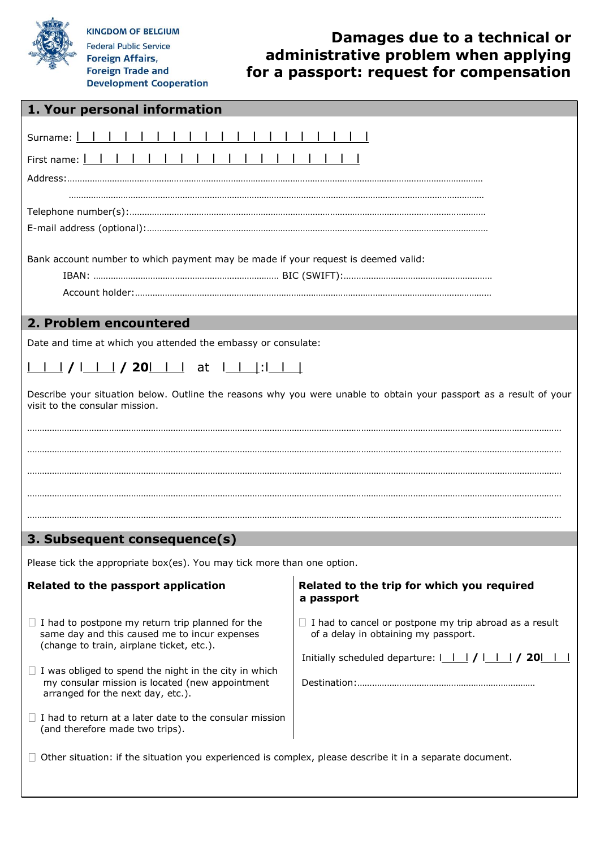

**KINGDOM OF BELGIUM Federal Public Service** 

**Foreign Affairs, Foreign Trade and Development Cooperation** 

## **Damages due to a technical or administrative problem when applying for a passport: request for compensation**

| 1. Your personal information                                                                                                                                                                                                                                                                                                                                                                                                                                                                                                                                                                                                                                                                                                                                                                                         |
|----------------------------------------------------------------------------------------------------------------------------------------------------------------------------------------------------------------------------------------------------------------------------------------------------------------------------------------------------------------------------------------------------------------------------------------------------------------------------------------------------------------------------------------------------------------------------------------------------------------------------------------------------------------------------------------------------------------------------------------------------------------------------------------------------------------------|
| Surname: I<br>First name: 1 1<br>Bank account number to which payment may be made if your request is deemed valid:                                                                                                                                                                                                                                                                                                                                                                                                                                                                                                                                                                                                                                                                                                   |
| 2. Problem encountered                                                                                                                                                                                                                                                                                                                                                                                                                                                                                                                                                                                                                                                                                                                                                                                               |
| Describe your situation below. Outline the reasons why you were unable to obtain your passport as a result of your<br>visit to the consular mission.<br>3. Subsequent consequence(s)                                                                                                                                                                                                                                                                                                                                                                                                                                                                                                                                                                                                                                 |
| Please tick the appropriate box(es). You may tick more than one option.                                                                                                                                                                                                                                                                                                                                                                                                                                                                                                                                                                                                                                                                                                                                              |
| Related to the passport application<br>Related to the trip for which you required<br>a passport<br>$\Box$ I had to cancel or postpone my trip abroad as a result<br>$\Box$ I had to postpone my return trip planned for the<br>same day and this caused me to incur expenses<br>of a delay in obtaining my passport.<br>(change to train, airplane ticket, etc.).<br>Initially scheduled departure: $1 \mid 1 \mid 1 \mid 1 \mid 20 \mid 1$<br>$\Box$ I was obliged to spend the night in the city in which<br>my consular mission is located (new appointment<br>arranged for the next day, etc.).<br>$\Box$ I had to return at a later date to the consular mission<br>(and therefore made two trips).<br>Other situation: if the situation you experienced is complex, please describe it in a separate document. |